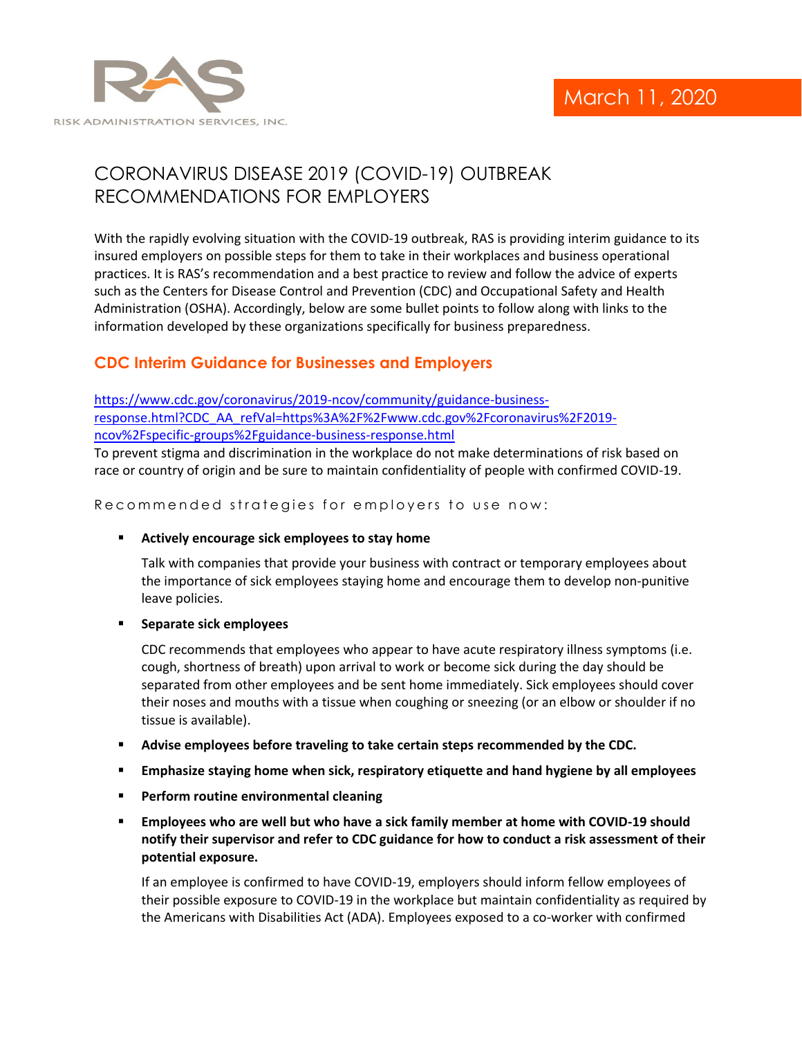

# CORONAVIRUS DISEASE 2019 (COVID-19) OUTBREAK RECOMMENDATIONS FOR EMPLOYERS

With the rapidly evolving situation with the COVID-19 outbreak, RAS is providing interim guidance to its insured employers on possible steps for them to take in their workplaces and business operational practices. It is RAS's recommendation and a best practice to review and follow the advice of experts such as the Centers for Disease Control and Prevention (CDC) and Occupational Safety and Health Administration (OSHA). Accordingly, below are some bullet points to follow along with links to the information developed by these organizations specifically for business preparedness.

# **CDC Interim Guidance for Businesses and Employers**

[https://www.cdc.gov/coronavirus/2019-ncov/community/guidance-business](https://www.cdc.gov/coronavirus/2019-ncov/community/guidance-business-response.html?CDC_AA_refVal=https%3A%2F%2Fwww.cdc.gov%2Fcoronavirus%2F2019-ncov%2Fspecific-groups%2Fguidance-business-response.html)[response.html?CDC\\_AA\\_refVal=https%3A%2F%2Fwww.cdc.gov%2Fcoronavirus%2F2019](https://www.cdc.gov/coronavirus/2019-ncov/community/guidance-business-response.html?CDC_AA_refVal=https%3A%2F%2Fwww.cdc.gov%2Fcoronavirus%2F2019-ncov%2Fspecific-groups%2Fguidance-business-response.html) [ncov%2Fspecific-groups%2Fguidance-business-response.html](https://www.cdc.gov/coronavirus/2019-ncov/community/guidance-business-response.html?CDC_AA_refVal=https%3A%2F%2Fwww.cdc.gov%2Fcoronavirus%2F2019-ncov%2Fspecific-groups%2Fguidance-business-response.html)

To prevent stigma and discrimination in the workplace do not make determinations of risk based on race or country of origin and be sure to maintain confidentiality of people with confirmed COVID-19.

Recommended strategies for employers to use now:

#### ▪ **Actively encourage sick employees to stay home**

Talk with companies that provide your business with contract or temporary employees about the importance of sick employees staying home and encourage them to develop non-punitive leave policies.

#### ▪ **Separate sick employees**

CDC recommends that employees who appear to have acute respiratory illness symptoms (i.e. cough, shortness of breath) upon arrival to work or become sick during the day should be separated from other employees and be sent home immediately. Sick employees should cover their noses and mouths with a tissue when coughing or sneezing (or an elbow or shoulder if no tissue is available).

- **Advise employees before traveling to take certain steps recommended by the CDC.**
- **Emphasize staying home when sick, respiratory etiquette and hand hygiene by all employees**
- **Perform routine environmental cleaning**
- **Employees who are well but who have a sick family member at home with COVID-19 should notify their supervisor and refer to CDC guidance for how to conduct a risk assessment of their potential exposure.**

If an employee is confirmed to have COVID-19, employers should inform fellow employees of their possible exposure to COVID-19 in the workplace but maintain confidentiality as required by the Americans with Disabilities Act (ADA). Employees exposed to a co-worker with confirmed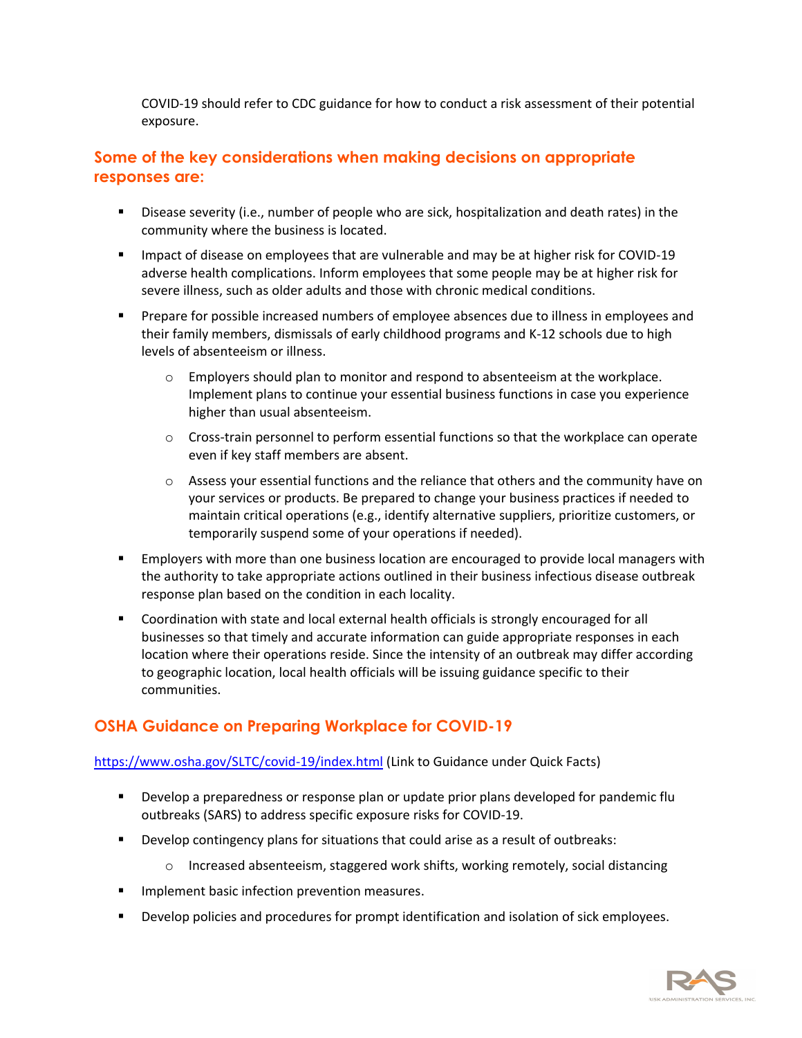COVID-19 should refer to CDC guidance for how to conduct a risk assessment of their potential exposure.

### **Some of the key considerations when making decisions on appropriate responses are:**

- **E** Disease severity (i.e., number of people who are sick, hospitalization and death rates) in the community where the business is located.
- Impact of disease on employees that are vulnerable and may be at higher risk for COVID-19 adverse health complications. Inform employees that some people may be at higher risk for severe illness, such as older adults and those with chronic medical conditions.
- **•** Prepare for possible increased numbers of employee absences due to illness in employees and their family members, dismissals of early childhood programs and K-12 schools due to high levels of absenteeism or illness.
	- $\circ$  Employers should plan to monitor and respond to absenteeism at the workplace. Implement plans to continue your essential business functions in case you experience higher than usual absenteeism.
	- $\circ$  Cross-train personnel to perform essential functions so that the workplace can operate even if key staff members are absent.
	- o Assess your essential functions and the reliance that others and the community have on your services or products. Be prepared to change your business practices if needed to maintain critical operations (e.g., identify alternative suppliers, prioritize customers, or temporarily suspend some of your operations if needed).
- **Employers with more than one business location are encouraged to provide local managers with** the authority to take appropriate actions outlined in their business infectious disease outbreak response plan based on the condition in each locality.
- Coordination with state and local external health officials is strongly encouraged for all businesses so that timely and accurate information can guide appropriate responses in each location where their operations reside. Since the intensity of an outbreak may differ according to geographic location, local health officials will be issuing guidance specific to their communities.

## **OSHA Guidance on Preparing Workplace for COVID-19**

#### <https://www.osha.gov/SLTC/covid-19/index.html> (Link to Guidance under Quick Facts)

- Develop a preparedness or response plan or update prior plans developed for pandemic flu outbreaks (SARS) to address specific exposure risks for COVID-19.
- Develop contingency plans for situations that could arise as a result of outbreaks:
	- $\circ$  Increased absenteeism, staggered work shifts, working remotely, social distancing
- **■** Implement basic infection prevention measures.
- Develop policies and procedures for prompt identification and isolation of sick employees.